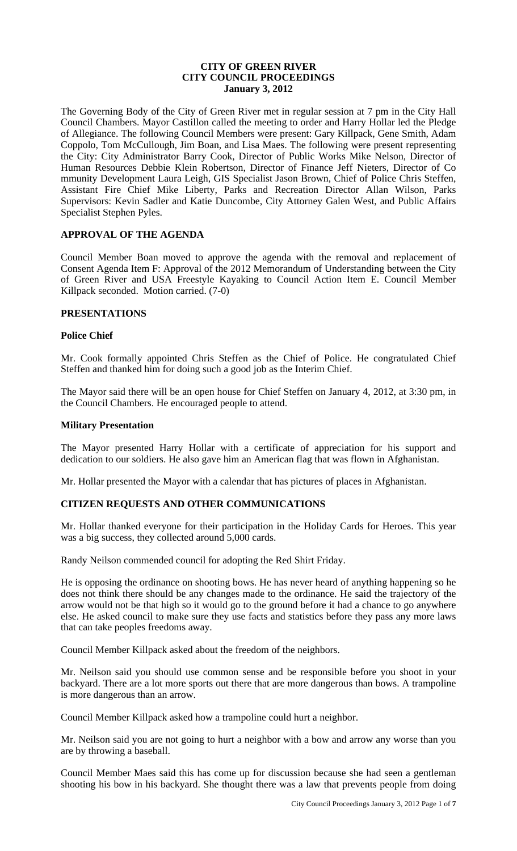# **CITY OF GREEN RIVER CITY COUNCIL PROCEEDINGS January 3, 2012**

The Governing Body of the City of Green River met in regular session at 7 pm in the City Hall Council Chambers. Mayor Castillon called the meeting to order and Harry Hollar led the Pledge of Allegiance. The following Council Members were present: Gary Killpack, Gene Smith, Adam Coppolo, Tom McCullough, Jim Boan, and Lisa Maes. The following were present representing the City: City Administrator Barry Cook, Director of Public Works Mike Nelson, Director of Human Resources Debbie Klein Robertson, Director of Finance Jeff Nieters, Director of Co mmunity Development Laura Leigh, GIS Specialist Jason Brown, Chief of Police Chris Steffen, Assistant Fire Chief Mike Liberty, Parks and Recreation Director Allan Wilson, Parks Supervisors: Kevin Sadler and Katie Duncombe, City Attorney Galen West, and Public Affairs Specialist Stephen Pyles.

# **APPROVAL OF THE AGENDA**

Council Member Boan moved to approve the agenda with the removal and replacement of Consent Agenda Item F: Approval of the 2012 Memorandum of Understanding between the City of Green River and USA Freestyle Kayaking to Council Action Item E. Council Member Killpack seconded. Motion carried. (7-0)

# **PRESENTATIONS**

# **Police Chief**

Mr. Cook formally appointed Chris Steffen as the Chief of Police. He congratulated Chief Steffen and thanked him for doing such a good job as the Interim Chief.

The Mayor said there will be an open house for Chief Steffen on January 4, 2012, at 3:30 pm, in the Council Chambers. He encouraged people to attend.

## **Military Presentation**

The Mayor presented Harry Hollar with a certificate of appreciation for his support and dedication to our soldiers. He also gave him an American flag that was flown in Afghanistan.

Mr. Hollar presented the Mayor with a calendar that has pictures of places in Afghanistan.

# **CITIZEN REQUESTS AND OTHER COMMUNICATIONS**

Mr. Hollar thanked everyone for their participation in the Holiday Cards for Heroes. This year was a big success, they collected around 5,000 cards.

Randy Neilson commended council for adopting the Red Shirt Friday.

He is opposing the ordinance on shooting bows. He has never heard of anything happening so he does not think there should be any changes made to the ordinance. He said the trajectory of the arrow would not be that high so it would go to the ground before it had a chance to go anywhere else. He asked council to make sure they use facts and statistics before they pass any more laws that can take peoples freedoms away.

Council Member Killpack asked about the freedom of the neighbors.

Mr. Neilson said you should use common sense and be responsible before you shoot in your backyard. There are a lot more sports out there that are more dangerous than bows. A trampoline is more dangerous than an arrow.

Council Member Killpack asked how a trampoline could hurt a neighbor.

Mr. Neilson said you are not going to hurt a neighbor with a bow and arrow any worse than you are by throwing a baseball.

Council Member Maes said this has come up for discussion because she had seen a gentleman shooting his bow in his backyard. She thought there was a law that prevents people from doing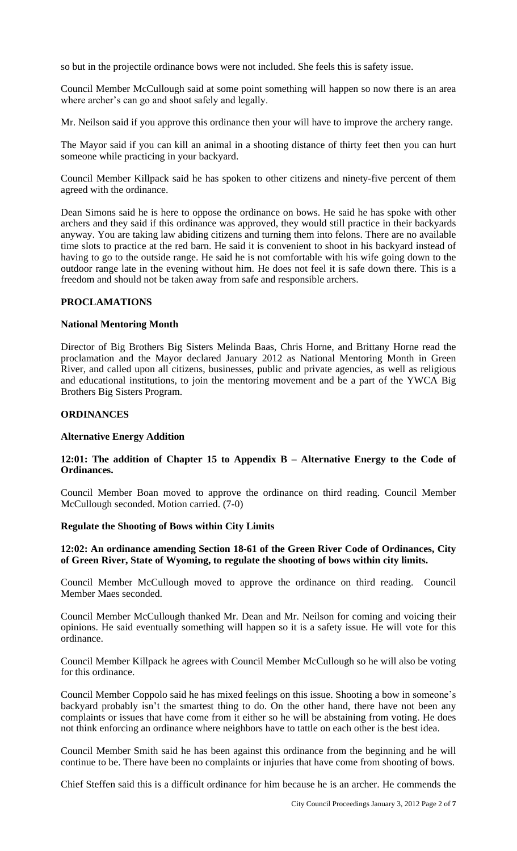so but in the projectile ordinance bows were not included. She feels this is safety issue.

Council Member McCullough said at some point something will happen so now there is an area where archer's can go and shoot safely and legally.

Mr. Neilson said if you approve this ordinance then your will have to improve the archery range.

The Mayor said if you can kill an animal in a shooting distance of thirty feet then you can hurt someone while practicing in your backyard.

Council Member Killpack said he has spoken to other citizens and ninety-five percent of them agreed with the ordinance.

Dean Simons said he is here to oppose the ordinance on bows. He said he has spoke with other archers and they said if this ordinance was approved, they would still practice in their backyards anyway. You are taking law abiding citizens and turning them into felons. There are no available time slots to practice at the red barn. He said it is convenient to shoot in his backyard instead of having to go to the outside range. He said he is not comfortable with his wife going down to the outdoor range late in the evening without him. He does not feel it is safe down there. This is a freedom and should not be taken away from safe and responsible archers.

## **PROCLAMATIONS**

## **National Mentoring Month**

Director of Big Brothers Big Sisters Melinda Baas, Chris Horne, and Brittany Horne read the proclamation and the Mayor declared January 2012 as National Mentoring Month in Green River, and called upon all citizens, businesses, public and private agencies, as well as religious and educational institutions, to join the mentoring movement and be a part of the YWCA Big Brothers Big Sisters Program.

#### **ORDINANCES**

#### **Alternative Energy Addition**

# **12:01: The addition of Chapter 15 to Appendix B – Alternative Energy to the Code of Ordinances.**

Council Member Boan moved to approve the ordinance on third reading. Council Member McCullough seconded. Motion carried. (7-0)

#### **Regulate the Shooting of Bows within City Limits**

## **12:02: An ordinance amending Section 18-61 of the Green River Code of Ordinances, City of Green River, State of Wyoming, to regulate the shooting of bows within city limits.**

Council Member McCullough moved to approve the ordinance on third reading. Council Member Maes seconded.

Council Member McCullough thanked Mr. Dean and Mr. Neilson for coming and voicing their opinions. He said eventually something will happen so it is a safety issue. He will vote for this ordinance.

Council Member Killpack he agrees with Council Member McCullough so he will also be voting for this ordinance.

Council Member Coppolo said he has mixed feelings on this issue. Shooting a bow in someone's backyard probably isn't the smartest thing to do. On the other hand, there have not been any complaints or issues that have come from it either so he will be abstaining from voting. He does not think enforcing an ordinance where neighbors have to tattle on each other is the best idea.

Council Member Smith said he has been against this ordinance from the beginning and he will continue to be. There have been no complaints or injuries that have come from shooting of bows.

Chief Steffen said this is a difficult ordinance for him because he is an archer. He commends the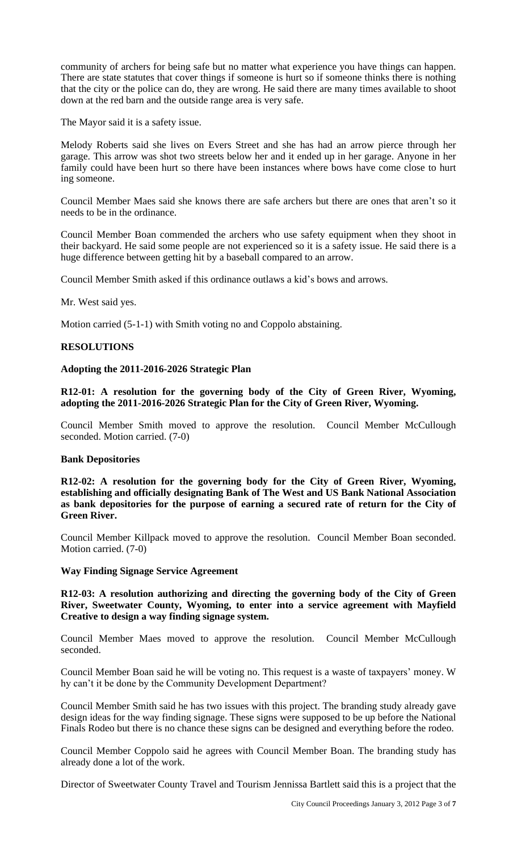community of archers for being safe but no matter what experience you have things can happen. There are state statutes that cover things if someone is hurt so if someone thinks there is nothing that the city or the police can do, they are wrong. He said there are many times available to shoot down at the red barn and the outside range area is very safe.

The Mayor said it is a safety issue.

Melody Roberts said she lives on Evers Street and she has had an arrow pierce through her garage. This arrow was shot two streets below her and it ended up in her garage. Anyone in her family could have been hurt so there have been instances where bows have come close to hurt ing someone.

Council Member Maes said she knows there are safe archers but there are ones that aren't so it needs to be in the ordinance.

Council Member Boan commended the archers who use safety equipment when they shoot in their backyard. He said some people are not experienced so it is a safety issue. He said there is a huge difference between getting hit by a baseball compared to an arrow.

Council Member Smith asked if this ordinance outlaws a kid's bows and arrows.

Mr. West said yes.

Motion carried (5-1-1) with Smith voting no and Coppolo abstaining.

## **RESOLUTIONS**

## **Adopting the 2011-2016-2026 Strategic Plan**

**R12-01: A resolution for the governing body of the City of Green River, Wyoming, adopting the 2011-2016-2026 Strategic Plan for the City of Green River, Wyoming.**

Council Member Smith moved to approve the resolution. Council Member McCullough seconded. Motion carried. (7-0)

#### **Bank Depositories**

**R12-02: A resolution for the governing body for the City of Green River, Wyoming, establishing and officially designating Bank of The West and US Bank National Association as bank depositories for the purpose of earning a secured rate of return for the City of Green River.** 

Council Member Killpack moved to approve the resolution. Council Member Boan seconded. Motion carried. (7-0)

#### **Way Finding Signage Service Agreement**

**R12-03: A resolution authorizing and directing the governing body of the City of Green River, Sweetwater County, Wyoming, to enter into a service agreement with Mayfield Creative to design a way finding signage system.**

Council Member Maes moved to approve the resolution. Council Member McCullough seconded.

Council Member Boan said he will be voting no. This request is a waste of taxpayers' money. W hy can't it be done by the Community Development Department?

Council Member Smith said he has two issues with this project. The branding study already gave design ideas for the way finding signage. These signs were supposed to be up before the National Finals Rodeo but there is no chance these signs can be designed and everything before the rodeo.

Council Member Coppolo said he agrees with Council Member Boan. The branding study has already done a lot of the work.

Director of Sweetwater County Travel and Tourism Jennissa Bartlett said this is a project that the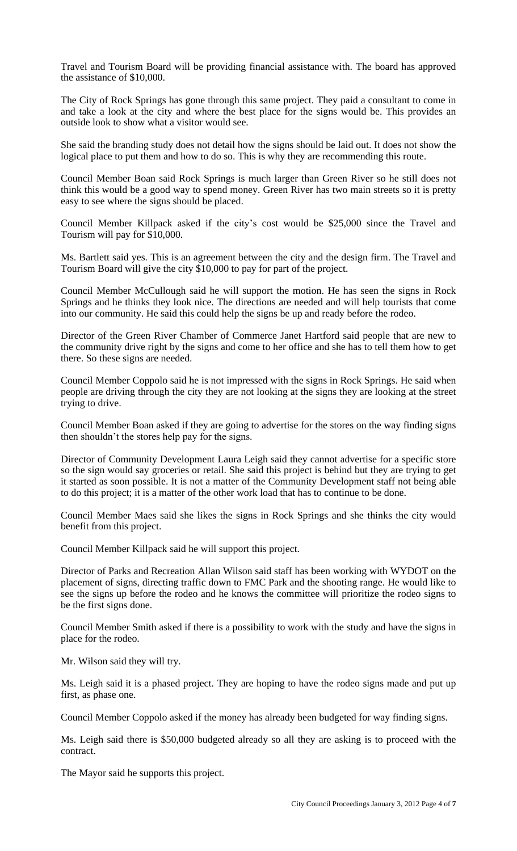Travel and Tourism Board will be providing financial assistance with. The board has approved the assistance of \$10,000.

The City of Rock Springs has gone through this same project. They paid a consultant to come in and take a look at the city and where the best place for the signs would be. This provides an outside look to show what a visitor would see.

She said the branding study does not detail how the signs should be laid out. It does not show the logical place to put them and how to do so. This is why they are recommending this route.

Council Member Boan said Rock Springs is much larger than Green River so he still does not think this would be a good way to spend money. Green River has two main streets so it is pretty easy to see where the signs should be placed.

Council Member Killpack asked if the city's cost would be \$25,000 since the Travel and Tourism will pay for \$10,000.

Ms. Bartlett said yes. This is an agreement between the city and the design firm. The Travel and Tourism Board will give the city \$10,000 to pay for part of the project.

Council Member McCullough said he will support the motion. He has seen the signs in Rock Springs and he thinks they look nice. The directions are needed and will help tourists that come into our community. He said this could help the signs be up and ready before the rodeo.

Director of the Green River Chamber of Commerce Janet Hartford said people that are new to the community drive right by the signs and come to her office and she has to tell them how to get there. So these signs are needed.

Council Member Coppolo said he is not impressed with the signs in Rock Springs. He said when people are driving through the city they are not looking at the signs they are looking at the street trying to drive.

Council Member Boan asked if they are going to advertise for the stores on the way finding signs then shouldn't the stores help pay for the signs.

Director of Community Development Laura Leigh said they cannot advertise for a specific store so the sign would say groceries or retail. She said this project is behind but they are trying to get it started as soon possible. It is not a matter of the Community Development staff not being able to do this project; it is a matter of the other work load that has to continue to be done.

Council Member Maes said she likes the signs in Rock Springs and she thinks the city would benefit from this project.

Council Member Killpack said he will support this project.

Director of Parks and Recreation Allan Wilson said staff has been working with WYDOT on the placement of signs, directing traffic down to FMC Park and the shooting range. He would like to see the signs up before the rodeo and he knows the committee will prioritize the rodeo signs to be the first signs done.

Council Member Smith asked if there is a possibility to work with the study and have the signs in place for the rodeo.

Mr. Wilson said they will try.

Ms. Leigh said it is a phased project. They are hoping to have the rodeo signs made and put up first, as phase one.

Council Member Coppolo asked if the money has already been budgeted for way finding signs.

Ms. Leigh said there is \$50,000 budgeted already so all they are asking is to proceed with the contract.

The Mayor said he supports this project.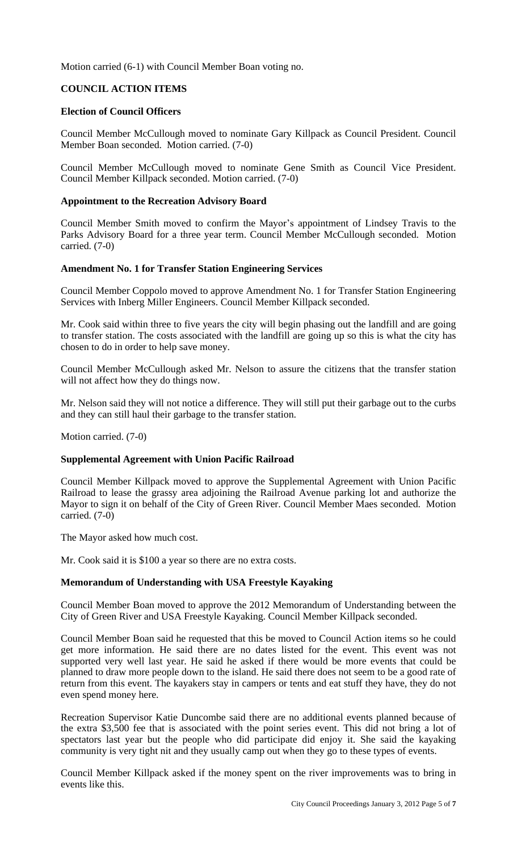Motion carried (6-1) with Council Member Boan voting no.

# **COUNCIL ACTION ITEMS**

## **Election of Council Officers**

Council Member McCullough moved to nominate Gary Killpack as Council President. Council Member Boan seconded. Motion carried. (7-0)

Council Member McCullough moved to nominate Gene Smith as Council Vice President. Council Member Killpack seconded. Motion carried. (7-0)

## **Appointment to the Recreation Advisory Board**

Council Member Smith moved to confirm the Mayor's appointment of Lindsey Travis to the Parks Advisory Board for a three year term. Council Member McCullough seconded. Motion carried. (7-0)

#### **Amendment No. 1 for Transfer Station Engineering Services**

Council Member Coppolo moved to approve Amendment No. 1 for Transfer Station Engineering Services with Inberg Miller Engineers. Council Member Killpack seconded.

Mr. Cook said within three to five years the city will begin phasing out the landfill and are going to transfer station. The costs associated with the landfill are going up so this is what the city has chosen to do in order to help save money.

Council Member McCullough asked Mr. Nelson to assure the citizens that the transfer station will not affect how they do things now.

Mr. Nelson said they will not notice a difference. They will still put their garbage out to the curbs and they can still haul their garbage to the transfer station.

Motion carried. (7-0)

#### **Supplemental Agreement with Union Pacific Railroad**

Council Member Killpack moved to approve the Supplemental Agreement with Union Pacific Railroad to lease the grassy area adjoining the Railroad Avenue parking lot and authorize the Mayor to sign it on behalf of the City of Green River. Council Member Maes seconded. Motion carried. (7-0)

The Mayor asked how much cost.

Mr. Cook said it is \$100 a year so there are no extra costs.

## **Memorandum of Understanding with USA Freestyle Kayaking**

Council Member Boan moved to approve the 2012 Memorandum of Understanding between the City of Green River and USA Freestyle Kayaking. Council Member Killpack seconded.

Council Member Boan said he requested that this be moved to Council Action items so he could get more information. He said there are no dates listed for the event. This event was not supported very well last year. He said he asked if there would be more events that could be planned to draw more people down to the island. He said there does not seem to be a good rate of return from this event. The kayakers stay in campers or tents and eat stuff they have, they do not even spend money here.

Recreation Supervisor Katie Duncombe said there are no additional events planned because of the extra \$3,500 fee that is associated with the point series event. This did not bring a lot of spectators last year but the people who did participate did enjoy it. She said the kayaking community is very tight nit and they usually camp out when they go to these types of events.

Council Member Killpack asked if the money spent on the river improvements was to bring in events like this.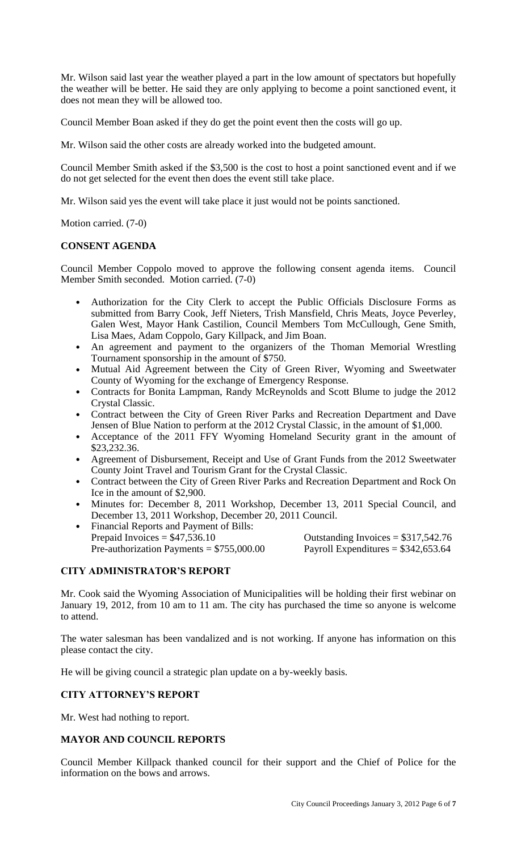Mr. Wilson said last year the weather played a part in the low amount of spectators but hopefully the weather will be better. He said they are only applying to become a point sanctioned event, it does not mean they will be allowed too.

Council Member Boan asked if they do get the point event then the costs will go up.

Mr. Wilson said the other costs are already worked into the budgeted amount.

Council Member Smith asked if the \$3,500 is the cost to host a point sanctioned event and if we do not get selected for the event then does the event still take place.

Mr. Wilson said yes the event will take place it just would not be points sanctioned.

Motion carried. (7-0)

# **CONSENT AGENDA**

Council Member Coppolo moved to approve the following consent agenda items. Council Member Smith seconded. Motion carried. (7-0)

- Authorization for the City Clerk to accept the Public Officials Disclosure Forms as submitted from Barry Cook, Jeff Nieters, Trish Mansfield, Chris Meats, Joyce Peverley, Galen West, Mayor Hank Castilion, Council Members Tom McCullough, Gene Smith, Lisa Maes, Adam Coppolo, Gary Killpack, and Jim Boan.
- An agreement and payment to the organizers of the Thoman Memorial Wrestling Tournament sponsorship in the amount of \$750.
- Mutual Aid Agreement between the City of Green River, Wyoming and Sweetwater County of Wyoming for the exchange of Emergency Response.
- Contracts for Bonita Lampman, Randy McReynolds and Scott Blume to judge the 2012 Crystal Classic.
- Contract between the City of Green River Parks and Recreation Department and Dave Jensen of Blue Nation to perform at the 2012 Crystal Classic, in the amount of \$1,000.
- Acceptance of the 2011 FFY Wyoming Homeland Security grant in the amount of \$23,232.36.
- Agreement of Disbursement, Receipt and Use of Grant Funds from the 2012 Sweetwater County Joint Travel and Tourism Grant for the Crystal Classic.
- Contract between the City of Green River Parks and Recreation Department and Rock On Ice in the amount of \$2,900.
- Minutes for: December 8, 2011 Workshop, December 13, 2011 Special Council, and December 13, 2011 Workshop, December 20, 2011 Council.
- Financial Reports and Payment of Bills:<br>Prepaid Invoices =  $$47,536.10$ Pre-authorization Payments =  $$755,000.00$  Payroll Expenditures =  $$342,653.64$

Outstanding Invoices  $= $317,542.76$ 

# **CITY ADMINISTRATOR'S REPORT**

Mr. Cook said the Wyoming Association of Municipalities will be holding their first webinar on January 19, 2012, from 10 am to 11 am. The city has purchased the time so anyone is welcome to attend.

The water salesman has been vandalized and is not working. If anyone has information on this please contact the city.

He will be giving council a strategic plan update on a by-weekly basis.

# **CITY ATTORNEY'S REPORT**

Mr. West had nothing to report.

# **MAYOR AND COUNCIL REPORTS**

Council Member Killpack thanked council for their support and the Chief of Police for the information on the bows and arrows.